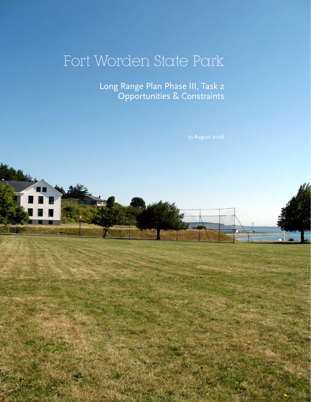# Fort Worden State Park

Long Range Plan Phase III, Task 2 Opportunities & Constraints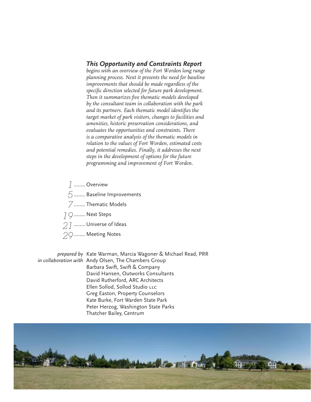#### *This Opportunity and Constraints Report*

*begins with an overview of the Fort Worden long range planning process. Next it presents the need for baseline improvements that should be made regardless of the specific direction selected for future park development. Then it summarizes five thematic models developed by the consultant team in collaboration with the park and its partners. Each thematic model identifies the target market of park visitors, changes to facilities and amenities, historic preservation considerations, and evaluates the opportunities and constraints. There is a comparative analysis of the thematic models in relation to the values of Fort Worden, estimated costs and potential remedies. Finally, it addresses the next steps in the development of options for the future programming and improvement of Fort Worden.*

 1......... Overview 5......... Baseline Improvements 7......... Thematic Models 7 Q ........ Next Steps 2.7 ........ Universe of Ideas 20 ........ Meeting Notes

*prepared by* Kate Warman, Marcia Wagoner & Michael Read, PRR *in collaboration with* Andy Olsen, The Chambers Group Barbara Swift, Swift & Company David Hansen, Outworks Consultants David Rutherford, ARC Architects Ellen Sollod, Sollod Studio LLC Greg Easton, Property Counselors Kate Burke, Fort Warden State Park Peter Herzog, Washington State Parks Thatcher Bailey, Centrum

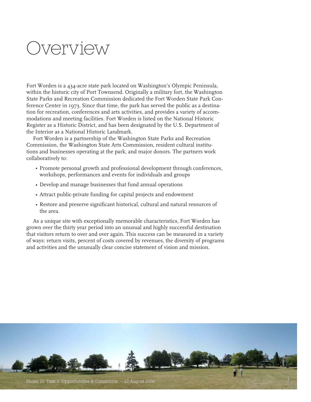# Overview

Fort Worden is a 434-acre state park located on Washington's Olympic Peninsula, within the historic city of Port Townsend. Originally a military fort, the Washington State Parks and Recreation Commission dedicated the Fort Worden State Park Conference Center in 1973. Since that time, the park has served the public as a destination for recreation, conferences and arts activities, and provides a variety of accommodations and meeting facilities. Fort Worden is listed on the National Historic Register as a Historic District, and has been designated by the U.S. Department of the Interior as a National Historic Landmark.

Fort Worden is a partnership of the Washington State Parks and Recreation Commission, the Washington State Arts Commission, resident cultural institutions and businesses operating at the park, and major donors. The partners work collaboratively to:

- Promote personal growth and professional development through conferences, workshops, performances and events for individuals and groups
- Develop and manage businesses that fund annual operations •
- Attract public-private funding for capital projects and endowment •
- Restore and preserve significant historical, cultural and natural resources of the area.

As a unique site with exceptionally memorable characteristics, Fort Worden has grown over the thirty year period into an unusual and highly successful destination that visitors return to over and over again. This success can be measured in a variety of ways: return visits, percent of costs covered by revenues, the diversity of programs and activities and the unusually clear concise statement of vision and mission.

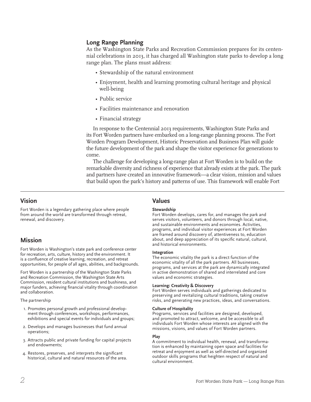#### **Long Range Planning**

As the Washington State Parks and Recreation Commission prepares for its centennial celebrations in 2013, it has charged all Washington state parks to develop a long range plan. The plans must address:

- Stewardship of the natural environment
- Enjoyment, health and learning promoting cultural heritage and physical well-being
- Public service
- Facilities maintenance and renovation •
- Financial strategy

In response to the Centennial 2013 requirements, Washington State Parks and its Fort Worden partners have embarked on a long-range planning process. The Fort Worden Program Development, Historic Preservation and Business Plan will guide the future development of the park and shape the visitor experience for generations to come.

The challenge for developing a long-range plan at Fort Worden is to build on the remarkable diversity and richness of experience that already exists at the park. The park and partners have created an innovative framework—a clear vision, mission and values that build upon the park's history and patterns of use. This framework will enable Fort

#### **Vision**

Fort Worden is a legendary gathering place where people from around the world are transformed through retreat, renewal, and discovery.

#### **Mission**

Fort Worden is Washington's state park and conference center for recreation, arts, culture, history and the environment. It is a confluence of creative learning, recreation, and retreat opportunities, for people of all ages, abilities, and backgrounds.

Fort Worden is a partnership of the Washington State Parks and Recreation Commission, the Washington State Arts Commission, resident cultural institutions and bushiness, and major funders, achieving financial vitality through coordination and collaboration.

The partnership

- 1. Promotes personal growth and professional development through conferences, workshops, performances, exhibitions and special events for individuals and groups;
- 2. Develops and manages businesses that fund annual operations;
- 3. Attracts public and private funding for capital projects and endowments;
- 4. Restores, preserves, and interprets the significant historical, cultural and natural resources of the area.

#### **Values**

#### **Stewardship**

Fort Worden develops, cares for, and manages the park and serves visitors, volunteers, and donors through local, native, and sustainable environments and economies. Activities, programs, and individual visitor experiences at Fort Worden are framed around discovery of, attentiveness to, education about, and deep appreciation of its specific natural, cultural, and historical environments.

#### **Integration**

The economic vitality the park is a direct function of the economic vitality of all the park partners. All businesses, programs, and services at the park are dynamically integrated in active demonstration of shared and interrelated and core values and economic strategies.

#### **Learning: Creativity & Discovery**

Fort Worden serves individuals and gatherings dedicated to preserving and revitalizing cultural traditions, taking creative risks, and generating new practices, ideas, and conversations.

#### **Culture of Hospitality**

Programs, services and facilities are designed, developed, and promoted to attract, welcome, and be accessible to all individuals Fort Worden whose interests are aligned with the missions, visions, and values of Fort Worden partners.

#### **Play**

A commitment to individual health, renewal, and transformation is enhanced by maintaining open space and facilities for retreat and enjoyment as well as self-directed and organized outdoor skills programs that heighten respect of natural and cultural environment.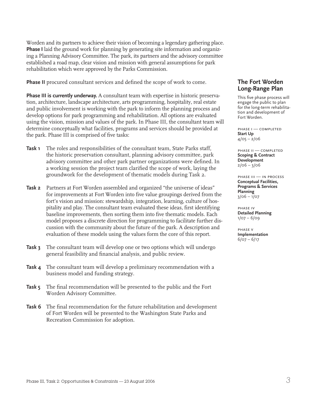Worden and its partners to achieve their vision of becoming a legendary gathering place. **Phase I** laid the ground work for planning by generating site information and organizing a Planning Advisory Committee. The park, its partners and the advisory committee established a road map, clear vision and mission with general assumptions for park rehabilitation which were approved by the Parks Commission.

**Phase II** procured consultant services and defined the scope of work to come.

**Phase III is currently underway.** A consultant team with expertise in historic preservation, architecture, landscape architecture, arts programming, hospitality, real estate and public involvement is working with the park to inform the planning process and develop options for park programming and rehabilitation. All options are evaluated using the vision, mission and values of the park. In Phase III, the consultant team will determine conceptually what facilities, programs and services should be provided at the park. Phase III is comprised of five tasks:

- **Task 1** The roles and responsibilities of the consultant team, State Parks staff, the historic preservation consultant, planning advisory committee, park advisory committee and other park partner organizations were defined. In a working session the project team clarified the scope of work, laying the groundwork for the development of thematic models during Task 2.
- **Task 2** Partners at Fort Worden assembled and organized "the universe of ideas" for improvements at Fort Worden into five value groupings derived from the fort's vision and mission: stewardship, integration, learning, culture of hospitality and play. The consultant team evaluated these ideas, first identifying baseline improvements, then sorting them into five thematic models. Each model proposes a discrete direction for programming to facilitate further discussion with the community about the future of the park. A description and evaluation of these models using the values form the core of this report.
- **Task 3** The consultant team will develop one or two options which will undergo general feasibility and financial analysis, and public review.
- **Task 4** The consultant team will develop a preliminary recommendation with a business model and funding strategy.
- **Task 5** The final recommendation will be presented to the public and the Fort Worden Advisory Committee.
- **Task 6** The final recommendation for the future rehabilitation and development of Fort Worden will be presented to the Washington State Parks and Recreation Commission for adoption.

#### **The Fort Worden Long-Range Plan**

This five phase process will engage the public to plan for the long-term rehabilitation and development of Fort Worden.

phase i — completed **Start Up**   $4/05 - 2/06$ 

phase ii — completed **Scoping & Contract Development**  $2/06 - 3/06$ 

phase iii — in process **Conceptual Facilities, Programs & Services Planning**  $3/06 - 1/07$ 

phase iv **Detailed Planning** 1/07 – 6/09

phase v **Implementation** 6/07 – 6/17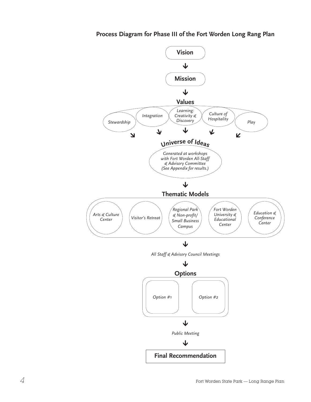#### **Process Diagram for Phase III of the Fort Worden Long Rang Plan**



*Public Meeting*  $\overline{\mathbf{V}}$ 

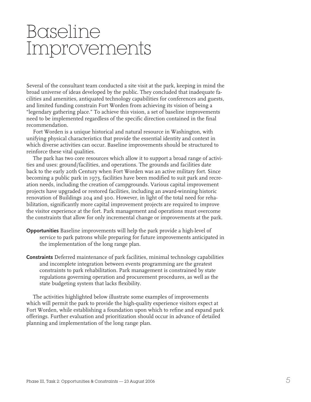# Baseline Improvements

Several of the consultant team conducted a site visit at the park, keeping in mind the broad universe of ideas developed by the public. They concluded that inadequate facilities and amenities, antiquated technology capabilities for conferences and guests, and limited funding constrain Fort Worden from achieving its vision of being a "legendary gathering place." To achieve this vision, a set of baseline improvements need to be implemented regardless of the specific direction contained in the final recommendation.

Fort Worden is a unique historical and natural resource in Washington, with unifying physical characteristics that provide the essential identity and context in which diverse activities can occur. Baseline improvements should be structured to reinforce these vital qualities.

The park has two core resources which allow it to support a broad range of activities and uses: ground/facilities, and operations. The grounds and facilities date back to the early 20th Century when Fort Worden was an active military fort. Since becoming a public park in 1973, facilities have been modified to suit park and recreation needs, including the creation of campgrounds. Various capital improvement projects have upgraded or restored facilities, including an award-winning historic renovation of Buildings 204 and 300. However, in light of the total need for rehabilitation, significantly more capital improvement projects are required to improve the visitor experience at the fort. Park management and operations must overcome the constraints that allow for only incremental change or improvements at the park.

- **Opportunities** Baseline improvements will help the park provide a high-level of service to park patrons while preparing for future improvements anticipated in the implementation of the long range plan.
- **Constraints** Deferred maintenance of park facilities, minimal technology capabilities and incomplete integration between events programming are the greatest constraints to park rehabilitation. Park management is constrained by state regulations governing operation and procurement procedures, as well as the state budgeting system that lacks flexibility.

The activities highlighted below illustrate some examples of improvements which will permit the park to provide the high-quality experience visitors expect at Fort Worden, while establishing a foundation upon which to refine and expand park offerings. Further evaluation and prioritization should occur in advance of detailed planning and implementation of the long range plan.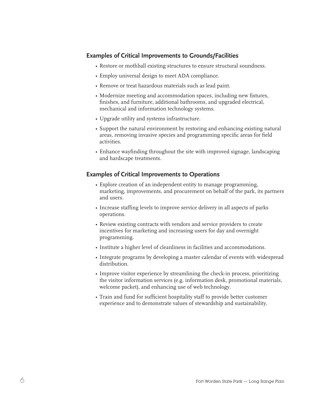#### **Examples of Critical Improvements to Grounds/Facilities**

- Restore or mothball existing structures to ensure structural soundness. •
- Employ universal design to meet ADA compliance.
- Remove or treat hazardous materials such as lead paint.
- Modernize meeting and accommodation spaces, including new fixtures, finishes, and furniture, additional bathrooms, and upgraded electrical, mechanical and information technology systems.
- Upgrade utility and systems infrastructure. •
- Support the natural environment by restoring and enhancing existing natural areas, removing invasive species and programming specific areas for field activities.
- Enhance wayfinding throughout the site with improved signage, landscaping and hardscape treatments.

#### **Examples of Critical Improvements to Operations**

- Explore creation of an independent entity to manage programming, marketing, improvements, and procurement on behalf of the park, its partners and users.
- Increase staffing levels to improve service delivery in all aspects of parks operations.
- Review existing contracts with vendors and service providers to create incentives for marketing and increasing users for day and overnight programming.
- Institute a higher level of cleanliness in facilities and accommodations.
- Integrate programs by developing a master calendar of events with widespread distribution.
- Improve visitor experience by streamlining the check-in process, prioritizing the visitor information services (e.g. information desk, promotional materials, welcome packet), and enhancing use of web technology.
- Train and fund for sufficient hospitality staff to provide better customer •experience and to demonstrate values of stewardship and sustainability.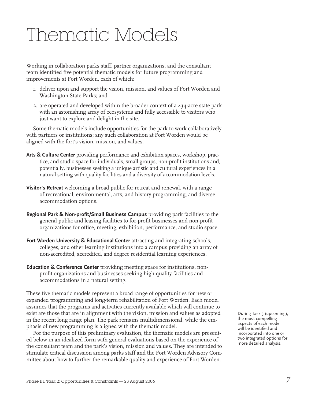# Thematic Models

Working in collaboration parks staff, partner organizations, and the consultant team identified five potential thematic models for future programming and improvements at Fort Worden, each of which:

- 1. deliver upon and support the vision, mission, and values of Fort Worden and Washington State Parks; and
- 2. are operated and developed within the broader context of a 434-acre state park with an astonishing array of ecosystems and fully accessible to visitors who just want to explore and delight in the site.

Some thematic models include opportunities for the park to work collaboratively with partners or institutions; any such collaboration at Fort Worden would be aligned with the fort's vision, mission, and values.

- **Arts & Culture Center** providing performance and exhibition spaces, workshop, practice, and studio space for individuals, small groups, non-profit institutions and, potentially, businesses seeking a unique artistic and cultural experiences in a natural setting with quality facilities and a diversity of accommodation levels.
- **Visitor's Retreat** welcoming a broad public for retreat and renewal, with a range of recreational, environmental, arts, and history programming, and diverse accommodation options.
- **Regional Park & Non-profit/Small Business Campus** providing park facilities to the general public and leasing facilities to for-profit businesses and non-profit organizations for office, meeting, exhibition, performance, and studio space.
- Fort Worden University & Educational Center attracting and integrating schools, colleges, and other learning institutions into a campus providing an array of non-accredited, accredited, and degree residential learning experiences.
- **Education & Conference Center** providing meeting space for institutions, nonprofit organizations and businesses seeking high-quality facilities and accommodations in a natural setting.

These five thematic models represent a broad range of opportunities for new or expanded programming and long-term rehabilitation of Fort Worden. Each model assumes that the programs and activities currently available which will continue to exist are those that are in alignment with the vision, mission and values as adopted in the recent long range plan. The park remains multidimensional, while the emphasis of new programming is aligned with the thematic model.

For the purpose of this preliminary evaluation, the thematic models are presented below in an idealized form with general evaluations based on the experience of the consultant team and the park's vision, mission and values. They are intended to stimulate critical discussion among parks staff and the Fort Worden Advisory Committee about how to further the remarkable quality and experience of Fort Worden.

During Task 3 (upcoming), the most compelling aspects of each model will be identified and incorporated into one or two integrated options for more detailed analysis.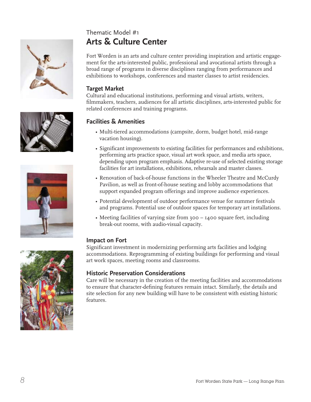





## Thematic Model #1 **Arts & Culture Center**

Fort Worden is an arts and culture center providing inspiration and artistic engagement for the arts-interested public, professional and avocational artists through a broad range of programs in diverse disciplines ranging from performances and exhibitions to workshops, conferences and master classes to artist residencies.

#### **Target Market**

Cultural and educational institutions, performing and visual artists, writers, filmmakers, teachers, audiences for all artistic disciplines, arts-interested public for related conferences and training programs.

#### **Facilities & Amenities**

- Multi-tiered accommodations (campsite, dorm, budget hotel, mid-range vacation housing).
- Significant improvements to existing facilities for performances and exhibitions, performing arts practice space, visual art work space, and media arts space, depending upon program emphasis. Adaptive re-use of selected existing storage facilities for art installations, exhibitions, rehearsals and master classes.
- Renovation of back-of-house functions in the Wheeler Theatre and McCurdy Pavilion, as well as front-of-house seating and lobby accommodations that support expanded program offerings and improve audience experiences.
- Potential development of outdoor performance venue for summer festivals and programs. Potential use of outdoor spaces for temporary art installations.
- Meeting facilities of varying size from 300 1400 square feet, including break-out rooms, with audio-visual capacity.

#### **Impact on Fort**

Significant investment in modernizing performing arts facilities and lodging accommodations. Reprogramming of existing buildings for performing and visual art work spaces, meeting rooms and classrooms.

#### **Historic Preservation Considerations**

Care will be necessary in the creation of the meeting facilities and accommodations to ensure that character-defining features remain intact. Similarly, the details and site selection for any new building will have to be consistent with existing historic features.

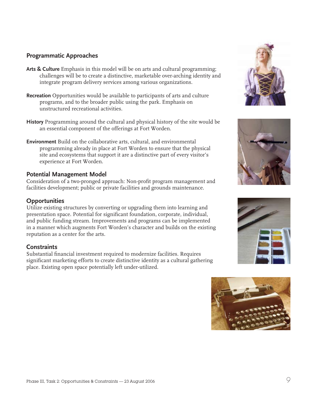#### **Programmatic Approaches**

- **Arts & Culture** Emphasis in this model will be on arts and cultural programming; challenges will be to create a distinctive, marketable over-arching identity and integrate program delivery services among various organizations.
- **Recreation** Opportunities would be available to participants of arts and culture programs, and to the broader public using the park. Emphasis on unstructured recreational activities.
- **History** Programming around the cultural and physical history of the site would be an essential component of the offerings at Fort Worden.
- **Environment** Build on the collaborative arts, cultural, and environmental programming already in place at Fort Worden to ensure that the physical site and ecosystems that support it are a distinctive part of every visitor's experience at Fort Worden.

#### **Potential Management Model**

Consideration of a two-pronged approach: Non-profit program management and facilities development; public or private facilities and grounds maintenance.

#### **Opportunities**

Utilize existing structures by converting or upgrading them into learning and presentation space. Potential for significant foundation, corporate, individual, and public funding stream. Improvements and programs can be implemented in a manner which augments Fort Worden's character and builds on the existing reputation as a center for the arts.

#### **Constraints**

Substantial financial investment required to modernize facilities. Requires significant marketing efforts to create distinctive identity as a cultural gathering place. Existing open space potentially left under-utilized.







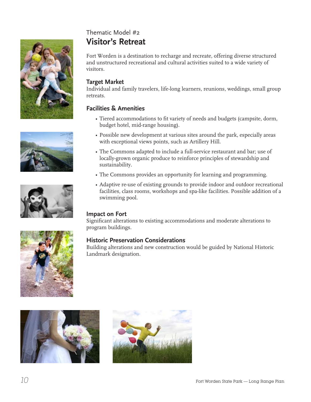





# Thematic Model #2 **Visitor's Retreat**

Fort Worden is a destination to recharge and recreate, offering diverse structured and unstructured recreational and cultural activities suited to a wide variety of visitors.

#### **Target Market**

Individual and family travelers, life-long learners, reunions, weddings, small group retreats.

#### **Facilities & Amenities**

- Tiered accommodations to fit variety of needs and budgets (campsite, dorm, budget hotel, mid-range housing).
- Possible new development at various sites around the park, especially areas with exceptional views points, such as Artillery Hill.
- The Commons adapted to include a full-service restaurant and bar; use of locally-grown organic produce to reinforce principles of stewardship and sustainability.
- The Commons provides an opportunity for learning and programming. •
- Adaptive re-use of existing grounds to provide indoor and outdoor recreational •facilities, class rooms, workshops and spa-like facilities. Possible addition of a swimming pool.

#### **Impact on Fort**

Significant alterations to existing accommodations and moderate alterations to program buildings.

#### **Historic Preservation Considerations**

Building alterations and new construction would be guided by National Historic Landmark designation.



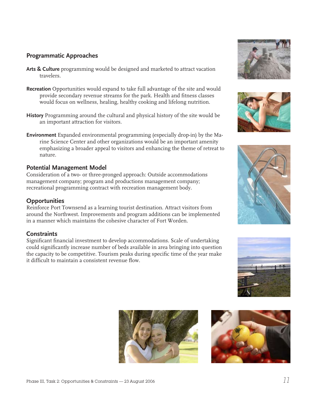#### **Programmatic Approaches**

- **Arts & Culture** programming would be designed and marketed to attract vacation travelers.
- **Recreation** Opportunities would expand to take full advantage of the site and would provide secondary revenue streams for the park. Health and fitness classes would focus on wellness, healing, healthy cooking and lifelong nutrition.
- **History** Programming around the cultural and physical history of the site would be an important attraction for visitors.
- **Environment** Expanded environmental programming (especially drop-in) by the Marine Science Center and other organizations would be an important amenity emphasizing a broader appeal to visitors and enhancing the theme of retreat to nature.

#### **Potential Management Model**

Consideration of a two- or three-pronged approach: Outside accommodations management company; program and productions management company; recreational programming contract with recreation management body.

#### **Opportunities**

Reinforce Port Townsend as a learning tourist destination. Attract visitors from around the Northwest. Improvements and program additions can be implemented in a manner which maintains the cohesive character of Fort Worden.

#### **Constraints**

Significant financial investment to develop accommodations. Scale of undertaking could significantly increase number of beds available in area bringing into question the capacity to be competitive. Tourism peaks during specific time of the year make it difficult to maintain a consistent revenue flow.











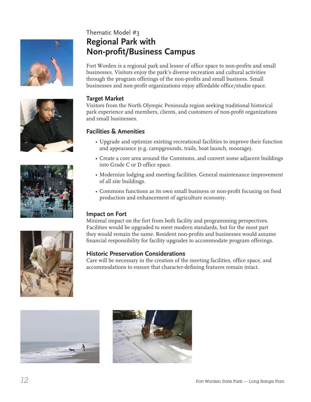







Fort Worden is a regional park and lessor of office space to non-profits and small businesses. Visitors enjoy the park's diverse recreation and cultural activities through the program offerings of the non-profits and small business. Small businesses and non-profit organizations enjoy affordable office/studio space.

#### **Target Market**

Visitors from the North Olympic Peninsula region seeking traditional historical park experience and members, clients, and customers of non-profit organizations and small businesses.

#### **Facilities & Amenities**

- Upgrade and optimize existing recreational facilities to improve their function and appearance (e.g. campgrounds, trails, boat launch, moorage).
- Create a core area around the Commons, and convert some adjacent buildings into Grade C or D office space.
- Modernize lodging and meeting facilities. General maintenance improvement of all site buildings.
- Commons functions as its own small business or non-profit focusing on food •production and enhancement of agriculture economy.

#### **Impact on Fort**

Minimal impact on the fort from both facility and programming perspectives. Facilities would be upgraded to meet modern standards, but for the most part they would remain the same. Resident non-profits and businesses would assume financial responsibility for facility upgrades to accommodate program offerings.

#### **Historic Preservation Considerations**

Care will be necessary in the creation of the meeting facilities, office space, and accommodations to ensure that character-defining features remain intact.



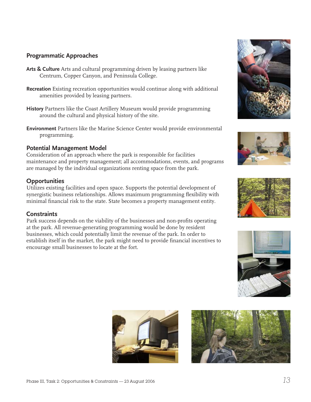#### **Programmatic Approaches**

- **Arts & Culture** Arts and cultural programming driven by leasing partners like Centrum, Copper Canyon, and Peninsula College.
- **Recreation** Existing recreation opportunities would continue along with additional amenities provided by leasing partners.
- **History** Partners like the Coast Artillery Museum would provide programming around the cultural and physical history of the site.
- **Environment** Partners like the Marine Science Center would provide environmental programming.

#### **Potential Management Model**

Consideration of an approach where the park is responsible for facilities maintenance and property management; all accommodations, events, and programs are managed by the individual organizations renting space from the park.

#### **Opportunities**

Utilizes existing facilities and open space. Supports the potential development of synergistic business relationships. Allows maximum programming flexibility with minimal financial risk to the state. State becomes a property management entity.

#### **Constraints**

Park success depends on the viability of the businesses and non-profits operating at the park. All revenue-generating programming would be done by resident businesses, which could potentially limit the revenue of the park. In order to establish itself in the market, the park might need to provide financial incentives to encourage small businesses to locate at the fort.











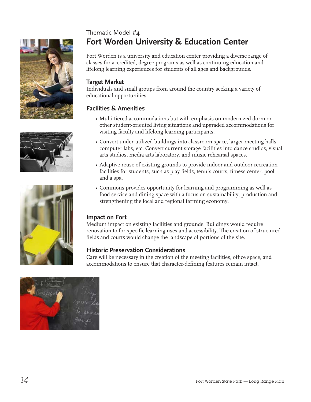





# Thematic Model #4 **Fort Worden University & Education Center**

Fort Worden is a university and education center providing a diverse range of classes for accredited, degree programs as well as continuing education and lifelong learning experiences for students of all ages and backgrounds.

#### **Target Market**

Individuals and small groups from around the country seeking a variety of educational opportunities.

#### **Facilities & Amenities**

- Multi-tiered accommodations but with emphasis on modernized dorm or other student-oriented living situations and upgraded accommodations for visiting faculty and lifelong learning participants.
- Convert under-utilized buildings into classroom space, larger meeting halls, computer labs, etc. Convert current storage facilities into dance studios, visual arts studios, media arts laboratory, and music rehearsal spaces.
- Adaptive reuse of existing grounds to provide indoor and outdoor recreation facilities for students, such as play fields, tennis courts, fitness center, pool and a spa.
- Commons provides opportunity for learning and programming as well as •food service and dining space with a focus on sustainability, production and strengthening the local and regional farming economy.

#### **Impact on Fort**

Medium impact on existing facilities and grounds. Buildings would require renovation to for specific learning uses and accessibility. The creation of structured fields and courts would change the landscape of portions of the site.

#### **Historic Preservation Considerations**

Care will be necessary in the creation of the meeting facilities, office space, and accommodations to ensure that character-defining features remain intact.

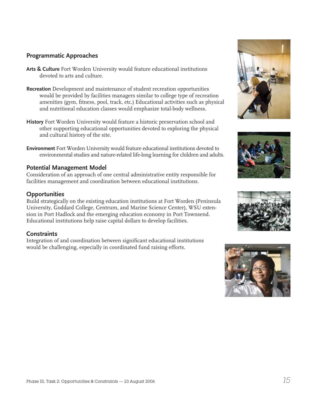#### **Programmatic Approaches**

- **Arts & Culture** Fort Worden University would feature educational institutions devoted to arts and culture.
- **Recreation** Development and maintenance of student recreation opportunities would be provided by facilities managers similar to college type of recreation amenities (gym, fitness, pool, track, etc.) Educational activities such as physical and nutritional education classes would emphasize total-body wellness.
- **History** Fort Worden University would feature a historic preservation school and other supporting educational opportunities devoted to exploring the physical and cultural history of the site.
- **Environment** Fort Worden University would feature educational institutions devoted to environmental studies and nature-related life-long learning for children and adults.

#### **Potential Management Model**

Consideration of an approach of one central administrative entity responsible for facilities management and coordination between educational institutions.

#### **Opportunities**

Build strategically on the existing education institutions at Fort Worden (Peninsula University, Goddard College, Centrum, and Marine Science Center), WSU extension in Port Hadlock and the emerging education economy in Port Townsend. Educational institutions help raise capital dollars to develop facilities.

#### **Constraints**

Integration of and coordination between significant educational institutions would be challenging, especially in coordinated fund raising efforts.







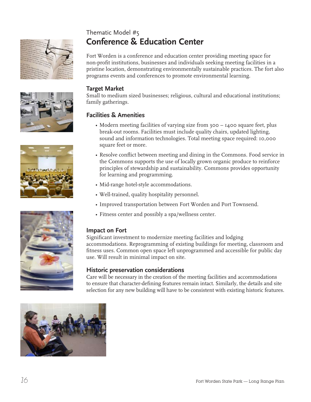







# Thematic Model #5 **Conference & Education Center**

Fort Worden is a conference and education center providing meeting space for non-profit institutions, businesses and individuals seeking meeting facilities in a pristine location, demonstrating environmentally sustainable practices. The fort also programs events and conferences to promote environmental learning.

#### **Target Market**

Small to medium sized businesses; religious, cultural and educational institutions; family gatherings.

#### **Facilities & Amenities**

- Modern meeting facilities of varying size from 300 1400 square feet, plus break-out rooms. Facilities must include quality chairs, updated lighting, sound and information technologies. Total meeting space required: 10,000 square feet or more.
- Resolve conflict between meeting and dining in the Commons. Food service in the Commons supports the use of locally grown organic produce to reinforce principles of stewardship and sustainability. Commons provides opportunity for learning and programming.
- Mid-range hotel-style accommodations.
- Well-trained, quality hospitality personnel. •
- Improved transportation between Fort Worden and Port Townsend.
- Fitness center and possibly a spa/wellness center. •

#### **Impact on Fort**

Significant investment to modernize meeting facilities and lodging accommodations. Reprogramming of existing buildings for meeting, classroom and fitness uses. Common open space left unprogrammed and accessible for public day use. Will result in minimal impact on site.

#### **Historic preservation considerations**

Care will be necessary in the creation of the meeting facilities and accommodations to ensure that character-defining features remain intact. Similarly, the details and site selection for any new building will have to be consistent with existing historic features.

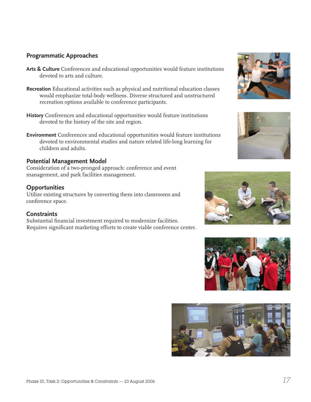#### **Programmatic Approaches**

- **Arts & Culture** Conferences and educational opportunities would feature institutions devoted to arts and culture.
- **Recreation** Educational activities such as physical and nutritional education classes would emphasize total-body wellness. Diverse structured and unstructured recreation options available to conference participants.
- **History** Conferences and educational opportunities would feature institutions devoted to the history of the site and region.
- **Environment** Conferences and educational opportunities would feature institutions devoted to environmental studies and nature related life-long learning for children and adults.

#### **Potential Management Model**

Consideration of a two-pronged approach: conference and event management, and park facilities management.

#### **Opportunities**

Utilize existing structures by converting them into classrooms and conference space.

#### **Constraints**

Substantial financial investment required to modernize facilities. Requires significant marketing efforts to create viable conference center.









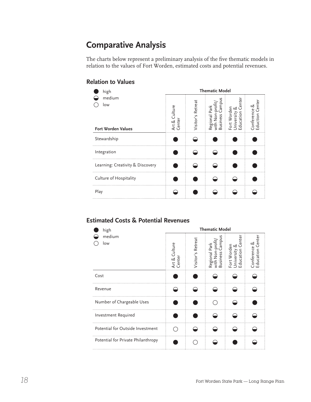# **Comparative Analysis**

The charts below represent a preliminary analysis of the five thematic models in relation to the values of Fort Worden, estimated costs and potential revenues.

#### **Relation to Values**

| high                                       | <b>Thematic Model</b>   |                      |                                                                                      |                                                        |                                   |  |
|--------------------------------------------|-------------------------|----------------------|--------------------------------------------------------------------------------------|--------------------------------------------------------|-----------------------------------|--|
| medium<br>low<br><b>Fort Worden Values</b> | Art & Culture<br>Center | Retreat<br>Visitor's | ampus<br>Non-profit <sub>/</sub><br>Park<br>SS<br>Regional<br><b>Busines</b><br>with | nte<br>ල<br>Fort Worden<br>I Iniversity &<br>Education | Cente<br>Conference &<br>Eduction |  |
| Stewardship                                |                         |                      |                                                                                      |                                                        |                                   |  |
| Integration                                |                         |                      |                                                                                      |                                                        |                                   |  |
| Learning: Creativity & Discovery           |                         |                      |                                                                                      |                                                        |                                   |  |
| Culture of Hospitality                     |                         |                      |                                                                                      |                                                        |                                   |  |
| Play                                       |                         |                      |                                                                                      |                                                        |                                   |  |

### **Estimated Costs & Potential Revenues**

| high                               | <b>Thematic Model</b>   |                      |                                                                                 |                                                                       |                                     |  |
|------------------------------------|-------------------------|----------------------|---------------------------------------------------------------------------------|-----------------------------------------------------------------------|-------------------------------------|--|
| medium<br>low                      | Art & Culture<br>Center | Retreat<br>Visitor's | ampus<br>Non-profit,<br>Park<br>$\mathsf{w}$<br>Regional<br>nes<br>Busi<br>with | Ë<br>Φ<br>Fort Worden<br>University &<br>ر<br>University<br>Education | Center<br>Conference &<br>Education |  |
| Cost                               |                         |                      |                                                                                 |                                                                       |                                     |  |
| Revenue                            |                         |                      |                                                                                 |                                                                       |                                     |  |
| Number of Chargeable Uses          |                         |                      |                                                                                 |                                                                       |                                     |  |
| Investment Required                |                         |                      |                                                                                 |                                                                       |                                     |  |
| Potential for Outside Investment   |                         |                      |                                                                                 |                                                                       |                                     |  |
| Potential for Private Philanthropy |                         |                      |                                                                                 |                                                                       |                                     |  |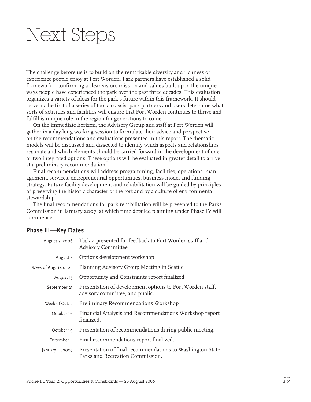# Next Steps

The challenge before us is to build on the remarkable diversity and richness of experience people enjoy at Fort Worden. Park partners have established a solid framework—confirming a clear vision, mission and values built upon the unique ways people have experienced the park over the past three decades. This evaluation organizes a variety of ideas for the park's future within this framework. It should serve as the first of a series of tools to assist park partners and users determine what sorts of activities and facilities will ensure that Fort Worden continues to thrive and fulfill is unique role in the region for generations to come.

On the immediate horizon, the Advisory Group and staff at Fort Worden will gather in a day-long working session to formulate their advice and perspective on the recommendations and evaluations presented in this report. The thematic models will be discussed and dissected to identify which aspects and relationships resonate and which elements should be carried forward in the development of one or two integrated options. These options will be evaluated in greater detail to arrive at a preliminary recommendation.

Final recommendations will address programming, facilities, operations, management, services, entrepreneurial opportunities, business model and funding strategy. Future facility development and rehabilitation will be guided by principles of preserving the historic character of the fort and by a culture of environmental stewardship.

The final recommendations for park rehabilitation will be presented to the Parks Commission in January 2007, at which time detailed planning under Phase IV will commence.

#### **Phase III—Key Dates**

| August 7, 2006        | Task 2 presented for feedback to Fort Worden staff and<br><b>Advisory Committee</b>           |
|-----------------------|-----------------------------------------------------------------------------------------------|
| August 8              | Options development workshop                                                                  |
| Week of Aug. 14 or 28 | Planning Advisory Group Meeting in Seattle                                                    |
| August 15             | Opportunity and Constraints report finalized                                                  |
| September 21          | Presentation of development options to Fort Worden staff,<br>advisory committee, and public.  |
| Week of Oct. 2        | Preliminary Recommendations Workshop                                                          |
| October 16            | Financial Analysis and Recommendations Workshop report<br>finalized.                          |
| October 19            | Presentation of recommendations during public meeting.                                        |
| December 4            | Final recommendations report finalized.                                                       |
| anuary 11, 2007       | Presentation of final recommendations to Washington State<br>Parks and Recreation Commission. |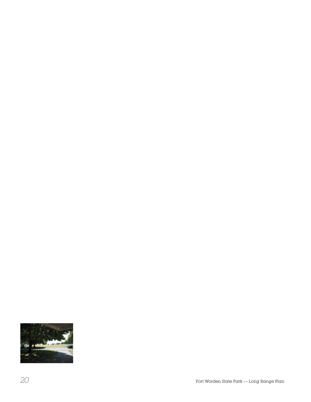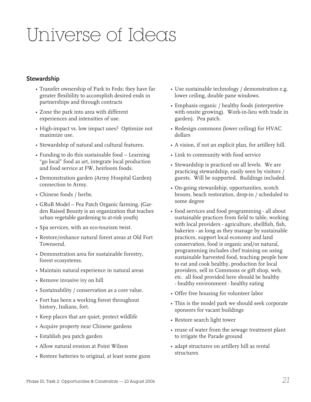# Universe of Ideas

#### **Stewardship**

- Transfer ownership of Park to Feds; they have far greater flexibility to accomplish desired ends in partnerships and through contracts
- Zone the park into area with different experiences and intensities of use.
- High-impact vs. low impact uses? Optimize not maximize use.
- Stewardship of natural and cultural features.
- Funding to do this sustainable food Learning "go local" food as art, integrate local production and food service at FW, heirloom foods.
- Demonstration garden (Army Hospital Garden) connection to Army.
- Chinese foods / herbs.
- GRuB Model Pea Patch Organic farming. (Gar-• den Raised Bounty is an organization that teaches urban vegetable gardening to at-risk youth)
- Spa services, with an eco-tourism twist.
- Restore/enhance natural forest areas at Old Fort Townsend.
- Demonstration area for sustainable forestry, forest ecosystems.
- Maintain natural experience in natural areas •
- Remove invasive ivy on hill
- Sustainability / conservation as a core value.
- Fort has been a working forest throughout history, Indians, fort.
- Keep places that are quiet, protect wildlife
- Acquire property near Chinese gardens
- Establish pea patch garden •
- Allow natural erosion at Point Wilson •
- Restore batteries to original, at least some guns
- Use sustainable technology / demonstration e.g. lower ceiling, double pane windows.
- Emphasis organic / healthy foods (interpretive with onsite growing). Work-in-lieu with trade in garden). Pea patch.
- Redesign commons (lower ceiling) for HVAC dollars
- A vision, if not an explicit plan, for artillery hill. •
- Link to community with food service
- Stewardship is practiced on all levels. We are practicing stewardship, easily seen by visitors / guests. Will be supported. Buildings included.
- On-going stewardship, opportunities, scotch broom, beach restoration, drop-in / scheduled to some degree
- food services and food programming all about sustainable practices from field to table, working with local providers - agriculture, shellfish, fish, bakeries - as long as they manage by sustainable practices, support local economy and land conservation, food is organic and/or natural, programming includes chef training on using sustainable harvested food, teaching people how to eat and cook healthy, production for local providers, sell in Commons or gift shop, web, etc. all food provided here should be healthy - healthy environment - healthy eating
- Offer free housing for volunteer labor •
- This is the model park we should seek corporate sponsors for vacant buildings
- Restore search light tower
- reuse of water from the sewage treatment plant to irrigate the Parade ground
- adapt structures on artillery hill as rental structures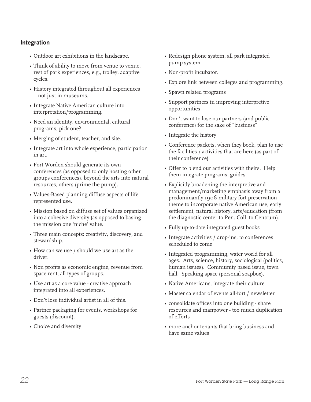#### **Integration**

- Outdoor art exhibitions in the landscape. •
- Think of ability to move from venue to venue, rest of park experiences, e.g., trolley, adaptive cycles.
- History integrated throughout all experiences – not just in museums.
- Integrate Native American culture into interpretation/programming.
- Need an identity, environmental, cultural programs, pick one?
- Merging of student, teacher, and site.
- Integrate art into whole experience, participation in art.
- Fort Worden should generate its own conferences (as opposed to only hosting other groups conferences), beyond the arts into natural resources, others (prime the pump).
- Values-Based planning diffuse aspects of life represented use.
- Mission based on diffuse set of values organized into a cohesive diversity (as opposed to basing the mission one 'niche' value.
- Three main concepts: creativity, discovery, and stewardship.
- How can we use / should we use art as the driver.
- Non profits as economic engine, revenue from space rent, all types of groups.
- Use art as a core value creative approach integrated into all experiences.
- Don't lose individual artist in all of this.
- Partner packaging for events, workshops for guests (discount).
- Choice and diversity
- Redesign phone system, all park integrated pump system
- Non-profit incubator.
- Explore link between colleges and programming. •
- Spawn related programs
- Support partners in improving interpretive opportunities
- Don't want to lose our partners (and public conference) for the sake of "business"
- Integrate the history
- Conference packets, when they book, plan to use the facilities / activities that are here (as part of their conference)
- Offer to blend our activities with theirs. Help them integrate programs, guides.
- Explicitly broadening the interpretive and management/marketing emphasis away from a predominantly 1906 military fort preservation theme to incorporate native American use, early settlement, natural history, arts/education (from the diagnostic center to Pen. Coll. to Centrum).
- Fully up-to-date integrated guest books •
- Integrate activities / drop-ins, to conferences scheduled to come
- Integrated programming, water world for all ages. Arts, science, history, sociological (politics, human issues). Community based issue, town hall. Speaking space (personal soapbox).
- Native Americans, integrate their culture
- Master calendar of events all-fort / newsletter
- consolidate offices into one building share resources and manpower - too much duplication of efforts
- more anchor tenants that bring business and have same values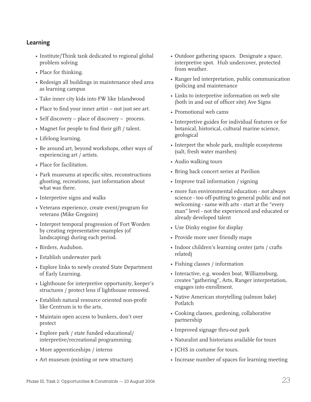**Learning**

- Institute/Think tank dedicated to regional global problem solving
- Place for thinking.
- Redesign all buildings in maintenance shed area as learning campus
- Take inner city kids into FW like Islandwood •
- Place to find your inner artist not just see art.
- Self discovery place of discovery process.
- Magnet for people to find their gift / talent.
- Lifelong learning. •
- Be around art, beyond workshops, other ways of experiencing art / artists.
- Place for facilitation.
- Park museums at specific sites, reconstructions ghosting, recreations, just information about what was there.
- Interpretive signs and walks
- Veterans experience, create event/program for veterans (Mike Gregoire)
- Interpret temporal progression of Fort Worden by creating representative examples (of landscaping) during each period.
- Birders, Audubon. •
- Establish underwater park •
- Explore links to newly created State Department of Early Learning.
- Lighthouse for interpretive opportunity, keeper's structures / protect lens if lighthouse removed.
- Establish natural resource oriented non-profit like Centrum is to the arts.
- Maintain open access to bunkers, don't over protect
- Explore park / state funded educational/ interpretive/recreational programming.
- More apprenticeships / interns
- Art museum (existing or new structure) •
- Outdoor gathering spaces. Designate a space, interpretive spot. Hub undercover, protected from weather.
- Ranger led interpretation, public communication (policing and maintenance
- Links to interpretive information on web site (both in and out of officer site) Ave Signs
- Promotional web cams •
- Interpretive guides for individual features or for botanical, historical, cultural marine science, geological
- Interpret the whole park, multiple ecosystems (salt, fresh water marshes)
- Audio walking tours •
- Bring back concert series at Pavilion
- Improve trail information / signing
- more fun environmental education not always science - too off-putting to general public and not welcoming - same with arts - start at the "every man" level - not the experienced and educated or already developed talent
- Use Dinky engine for display •
- Provide more user friendly maps
- Indoor children's learning center (arts / crafts related)
- Fishing classes / information
- Interactive, e.g. wooden boat, Williamsburg, creates "gathering", Arts, Ranger interpretation, engages into enrollment.
- Native American storytelling (salmon bake) Potlatch
- Cooking classes, gardening, collaborative partnership
- Improved signage thru-out park
- Naturalist and historians available for tours •
- JCHS in costume for tours.
- Increase number of spaces for learning meeting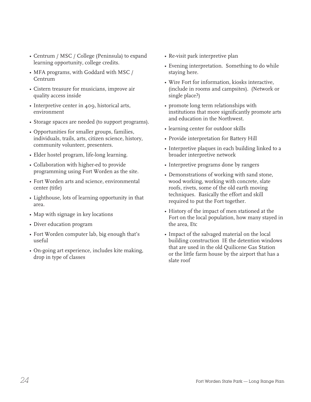- Centrum / MSC / College (Peninsula) to expand learning opportunity, college credits.
- MFA programs, with Goddard with MSC / Centrum
- Cistern treasure for musicians, improve air quality access inside
- Interpretive center in 409, historical arts, environment
- Storage spaces are needed (to support programs).
- Opportunities for smaller groups, families, individuals, trails, arts, citizen science, history, community volunteer, presenters.
- Elder hostel program, life-long learning.
- Collaboration with higher-ed to provide programming using Fort Worden as the site.
- Fort Worden arts and science, environmental center (title)
- Lighthouse, lots of learning opportunity in that area.
- Map with signage in key locations
- Diver education program •
- Fort Worden computer lab, big enough that's useful
- On-going art experience, includes kite making, drop in type of classes
- Re-visit park interpretive plan
- Evening interpretation. Something to do while staying here.
- Wire Fort for information, kiosks interactive, (include in rooms and campsites). (Network or single place?)
- promote long term relationships with institutions that more significantly promote arts and education in the Northwest.
- learning center for outdoor skills
- Provide interpretation for Battery Hill
- Interpretive plaques in each building linked to a broader interpretive network
- Interpretive programs done by rangers
- Demonstrations of working with sand stone, wood working, working with concrete, slate roofs, rivets, some of the old earth moving techniques. Basically the effort and skill required to put the Fort together.
- History of the impact of men stationed at the Fort on the local population, how many stayed in the area, Etc
- Impact of the salvaged material on the local building construction IE the detention windows that are used in the old Quilicene Gas Station or the little farm house by the airport that has a slate roof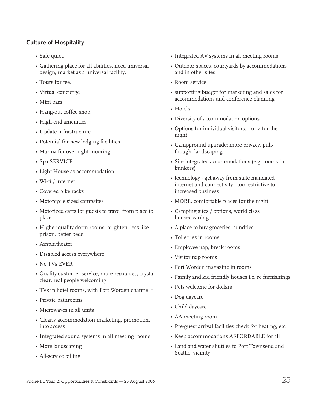#### **Culture of Hospitality**

- Safe quiet.
- Gathering place for all abilities, need universal design, market as a universal facility.
- Tours for fee. •
- Virtual concierge
- Mini bars •
- Hang-out coffee shop.
- High-end amenities
- Update infrastructure
- Potential for new lodging facilities
- Marina for overnight mooring.
- Spa SERVICE
- Light House as accommodation
- Wi-fi / internet
- Covered bike racks
- Motorcycle sized campsites
- Motorized carts for guests to travel from place to place
- Higher quality dorm rooms, brighten, less like prison, better beds.
- Amphitheater
- Disabled access everywhere
- No TVs EVER
- Quality customer service, more resources, crystal clear, real people welcoming
- TVs in hotel rooms, with Fort Worden channel I
- Private bathrooms •
- Microwaves in all units
- Clearly accommodation marketing, promotion, into access
- Integrated sound systems in all meeting rooms
- More landscaping
- All-service billing •
- Integrated AV systems in all meeting rooms
- Outdoor spaces, courtyards by accommodations and in other sites
- Room service •
- supporting budget for marketing and sales for accommodations and conference planning
- Hotels
- Diversity of accommodation options
- Options for individual visitors, I or 2 for the night
- Campground upgrade: more privacy, pull-• though, landscaping
- Site integrated accommodations (e.g. rooms in bunkers)
- technology get away from state mandated internet and connectivity - too restrictive to increased business
- MORE, comfortable places for the night
- Camping sites / options, world class housecleaning
- A place to buy groceries, sundries
- Toiletries in rooms •
- Employee nap, break rooms •
- Visitor nap rooms •
- Fort Worden magazine in rooms •
- Family and kid friendly houses i.e. re furnishings •
- Pets welcome for dollars
- Dog daycare
- Child daycare •
- AA meeting room
- Pre-guest arrival facilities check for heating, etc
- Keep accommodations AFFORDABLE for all
- Land and water shuttles to Port Townsend and Seattle, vicinity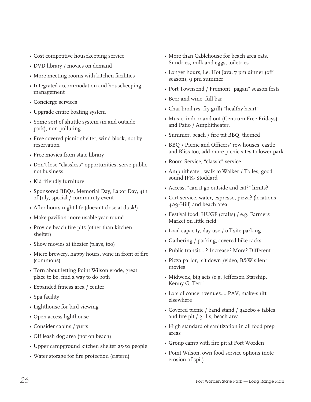- Cost competitive housekeeping service •
- DVD library / movies on demand
- More meeting rooms with kitchen facilities
- Integrated accommodation and housekeeping management
- Concierge services •
- Upgrade entire boating system
- Some sort of shuttle system (in and outside park), non-polluting
- Free covered picnic shelter, wind block, not by reservation
- Free movies from state library
- Don't lose "classless" opportunities, serve public, not business
- Kid friendly furniture
- Sponsored BBQs, Memorial Day, Labor Day, 4th of July, special / community event
- After hours night life (doesn't close at dusk!)
- Make pavilion more usable year-round
- Provide beach fire pits (other than kitchen shelter)
- Show movies at theater (plays, too)
- Micro brewery, happy hours, wine in front of fire (commons)
- Torn about letting Point Wilson erode, great place to be, find a way to do both
- Expanded fitness area / center
- Spa facility
- Lighthouse for bird viewing
- Open access lighthouse
- Consider cabins / yurts
- Off leash dog area (not on beach)
- Upper campground kitchen shelter 25-50 people
- Water storage for fire protection (cistern) •
- More than Cablehouse for beach area eats. Sundries, milk and eggs, toiletries
- Longer hours, i.e. Hot Java, 7 pm dinner (off season), 9 pm summer
- Port Townsend / Fremont "pagan" season fests
- Beer and wine, full bar
- Char broil (vs. fry grill) "healthy heart"
- Music, indoor and out (Centrum Free Fridays) and Patio / Amphitheater.
- Summer, beach / fire pit BBQ, themed
- BBQ / Picnic and Officers' row houses, castle and Bliss too, add more picnic sites to lower park
- Room Service, "classic" service
- Amphitheater, walk to Walker / Tolles, good sound JFK- Stoddard
- Access, "can it go outside and eat?" limits?
- Cart service, water, espresso, pizza? (locations 409-Hill) and beach area
- Festival food, HUGE (crafts) / e.g. Farmers Market on little field
- Load capacity, day use / off site parking
- Gathering / parking, covered bike racks
- Public transit….? Increase? More? Different •
- Pizza parlor, sit down /video, B&W silent movies
- Midweek, big acts (e.g. Jefferson Starship, Kenny G, Terri
- Lots of concert venues…. PAV, make-shift elsewhere
- Covered picnic / band stand / gazebo + tables and fire pit / grills, beach area
- High standard of sanitization in all food prep areas
- Group camp with fire pit at Fort Worden •
- Point Wilson, own food service options (note erosion of spit)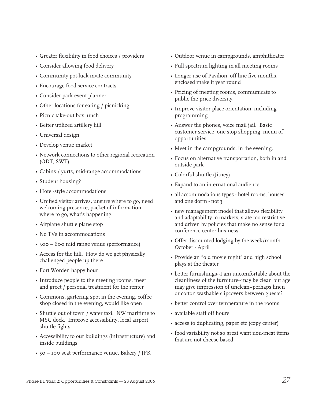- Greater flexibility in food choices / providers
- Consider allowing food delivery •
- Community pot-luck invite community •
- Encourage food service contracts
- Consider park event planner •
- Other locations for eating / picnicking
- Picnic take-out box lunch
- Better utilized artillery hill
- Universal design
- Develop venue market •
- Network connections to other regional recreation (ODT, SWT)
- Cabins / yurts, mid-range accommodations
- Student housing? •
- Hotel-style accommodations
- Unified visitor arrives, unsure where to go, need welcoming presence, packet of information, where to go, what's happening.
- Airplane shuttle plane stop •
- No TVs in accommodations
- 300 800 mid range venue (performance) •
- Access for the hill. How do we get physically challenged people up there
- Fort Worden happy hour
- Introduce people to the meeting rooms, meet and greet / personal treatment for the renter
- Commons, gartering spot in the evening, coffee shop closed in the evening, would like open
- Shuttle out of town / water taxi. NW maritime to MSC dock. Improve accessibility, local airport, shuttle fights.
- Accessibility to our buildings (infrastructure) and inside buildings
- 50 100 seat performance venue, Bakery / JFK •
- Outdoor venue in campgrounds, amphitheater •
- Full spectrum lighting in all meeting rooms •
- Longer use of Pavilion, off line five months, enclosed make it year round
- Pricing of meeting rooms, communicate to public the price diversity.
- Improve visitor place orientation, including programming
- Answer the phones, voice mail jail. Basic customer service, one stop shopping, menu of opportunities
- Meet in the campgrounds, in the evening.
- Focus on alternative transportation, both in and outside park
- Colorful shuttle (Jitney)
- Expand to an international audience. •
- all accommodations types hotel rooms, houses and one dorm - not 3
- new management model that allows flexibility and adaptability to markets, state too restrictive and driven by policies that make no sense for a conference center business
- Offer discounted lodging by the week/month October - April
- Provide an "old movie night" and high school plays at the theater
- better furnishings--I am uncomfortable about the cleanliness of the furniture--may be clean but age may give impression of unclean--perhaps linen or cotton washable slipcovers between guests?
- better control over temperature in the rooms
- available staff off hours •
- access to duplicating, paper etc (copy center)
- food variability not so great want non-meat items that are not cheese based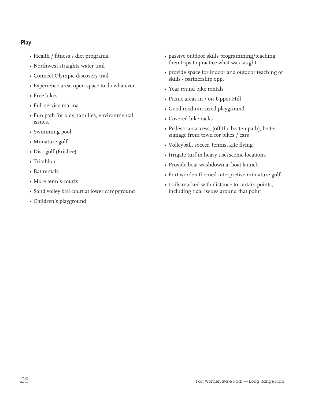#### **Play**

- Health / fitness / diet programs.
- Northwest straights water trail
- Connect Olympic discovery trail
- Experience area, open space to do whatever. •
- Free bikes •
- Full service marina •
- Fun path for kids, families, environmental issues.
- Swimming pool
- Miniature golf
- Disc golf (Frisbee)
- Triathlon
- Bat rentals
- More tennis courts
- Sand volley ball court at lower campground
- Children's playground
- passive outdoor skills programming/teaching then trips to practice what was taught
- provide space for indoor and outdoor teaching of skills - partnership opp.
- Year round bike rentals •
- Picnic areas in / on Upper Hill
- Good medium sized playground •
- Covered bike racks •
- Pedestrian access, (off the beaten path), better signage from town for bikes / cars
- Volleyball, soccer, tennis, kite flying
- Irrigate turf in heavy use/scenic locations
- Provide boat washdown at boat launch •
- Fort worden themed interpretive miniature golf •
- trails marked with distance to certain points, including tidal issues around that point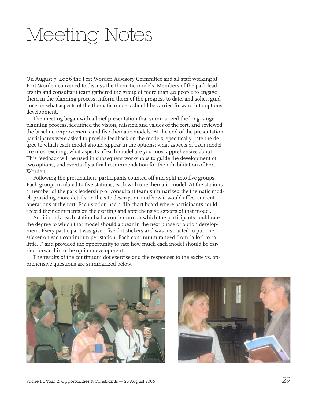# Meeting Notes

On August 7, 2006 the Fort Worden Advisory Committee and all staff working at Fort Worden convened to discuss the thematic models. Members of the park leadership and consultant team gathered the group of more than 40 people to engage them in the planning process, inform them of the progress to date, and solicit guidance on what aspects of the thematic models should be carried forward into options development.

The meeting began with a brief presentation that summarized the long-range planning process, identified the vision, mission and values of the fort, and reviewed the baseline improvements and five thematic models. At the end of the presentation participants were asked to provide feedback on the models, specifically: rate the degree to which each model should appear in the options; what aspects of each model are most exciting; what aspects of each model are you most apprehensive about. This feedback will be used in subsequent workshops to guide the development of two options, and eventually a final recommendation for the rehabilitation of Fort Worden.

Following the presentation, participants counted off and split into five groups. Each group circulated to five stations, each with one thematic model. At the stations a member of the park leadership or consultant team summarized the thematic model, providing more details on the site description and how it would affect current operations at the fort. Each station had a flip chart board where participants could record their comments on the exciting and apprehensive aspects of that model.

Additionally, each station had a continuum on which the participants could rate the degree to which that model should appear in the next phase of option development. Every participant was given five dot stickers and was instructed to put one sticker on each continuum per station. Each continuum ranged from "a lot" to "a little…" and provided the opportunity to rate how much each model should be carried forward into the option development.

The results of the continuum dot exercise and the responses to the excite vs. apprehensive questions are summarized below.



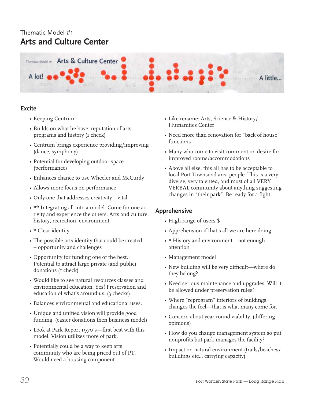## Thematic Model #1 **Arts and Culture Center**



#### **Excite**

- Keeping Centrum
- Builds on what he have: reputation of arts programs and history (1 check)
- Centrum brings experience providing/improving (dance, symphony)
- Potential for developing outdoor space (performance)
- Enhances chance to use Wheeler and McCurdy
- Allows more focus on performance
- Only one that addresses creativity—vital
- \*\* Integrating all into a model. Come for one activity and experience the others. Arts and culture, history, recreation, environment.
- \* Clear identity
- The possible arts identity that could be created. – opportunity and challenges
- Opportunity for funding one of the best. Potential to attract large private (and public) donations (1 check)
- Would like to see natural resources classes and environmental education. Yes! Preservation and education of what's around us. (3 checks)
- Balances environmental and educational uses.
- Unique and unified vision will provide good funding. (easier donations then business model)
- Look at Park Report 1970's—first best with this model. Vision utilizes more of park.
- Potentially could be a way to keep arts community who are being priced out of PT. Would need a housing component.
- Like rename: Arts, Science & History/ Humanities Center
- Need more than renovation for "back of house" functions
- Many who come to visit comment on desire for improved rooms/accommodations
- Above all else, this all has to be acceptable to local Port Townsend area people. This is a very diverse, very talented, and most of all VERY VERBAL community about anything suggesting changes in "their park". Be ready for a fight.

- High range of users \$
- Apprehension if that's all we are here doing
- \* History and environment—not enough attention
- Management model
- New building will be very difficult—where do they belong?
- Need serious maintenance and upgrades. Will it be allowed under preservation rules?
- Where "reprogram" interiors of buildings changes the feel—that is what many come for.
- Concern about year-round viability. (differing opinions)
- How do you change management system so put nonprofits but park manages the facility?
- Impact on natural environment (trails/beaches/ buildings etc… carrying capacity)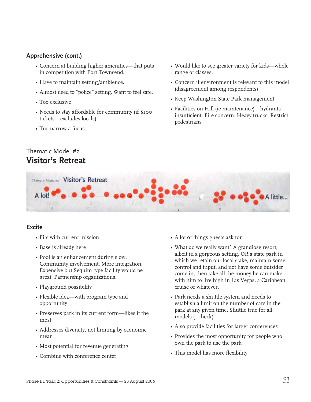#### **Apprehensive (cont.)**

- Concern at building higher amenities—that puts in competition with Port Townsend.
- Have to maintain setting/ambience.
- Almost need to "police" setting. Want to feel safe.
- Too exclusive

Thematic Model #2 **Visitor's Retreat**

- Needs to stay affordable for community (if \$100 tickets—excludes locals)
- Too narrow a focus. •
- Would like to see greater variety for kids—whole range of classes.
- Concern if environment is relevant to this model (disagreement among respondents)
- Keep Washington State Park management
- Facilities on Hill (ie maintenance)—hydrants insufficient. Fire concern. Heavy trucks. Restrict pedestrians

# Thematic Model #2 Visitor's Retreat

#### **Excite**

- Fits with current mission
- Base is already here
- Pool is an enhancement during slow. Community involvement. More integration. Expensive but Sequim type facility would be great. Partnership organizations.
- Playground possibility
- Flexible idea—with program type and opportunity
- Preserves park in its current form—likes it the most
- Addresses diversity, not limiting by economic mean
- Most potential for revenue generating
- Combine with conference center
- A lot of things guests ask for
- What do we really want? A grandiose resort, albeit in a gorgeous setting, OR a state park in which we retain our local stake, maintain some control and input, and not have some outsider come in, then take all the money he can make with him to live high in Las Vegas, a Caribbean cruise or whatever.
- Park needs a shuttle system and needs to establish a limit on the number of cars in the park at any given time. Shuttle true for all models (1 check).
- Also provide facilities for larger conferences
- Provides the most opportunity for people who own the park to use the park
- This model has more flexibility •

A little...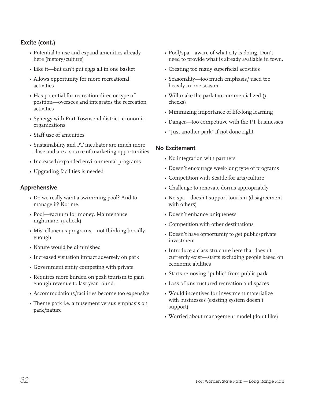#### **Excite (cont.)**

- Potential to use and expand amenities already here (history/culture)
- Like it—but can't put eggs all in one basket
- Allows opportunity for more recreational activities
- Has potential for recreation director type of position—oversees and integrates the recreation activities
- Synergy with Port Townsend district-economic organizations
- Staff use of amenities •
- Sustainability and PT incubator are much more close and are a source of marketing opportunities
- Increased/expanded environmental programs
- Upgrading facilities is needed

#### **Apprehensive**

- Do we really want a swimming pool? And to manage it? Not me.
- Pool—vacuum for money. Maintenance nightmare. (1 check)
- Miscellaneous programs—not thinking broadly enough
- Nature would be diminished •
- Increased visitation impact adversely on park
- Government entity competing with private •
- Requires more burden on peak tourism to gain enough revenue to last year round.
- Accommodations/facilities become too expensive
- Theme park i.e. amusement versus emphasis on park/nature
- Pool/spa—aware of what city is doing. Don't need to provide what is already available in town.
- Creating too many superficial activities •
- Seasonality-too much emphasis/ used too heavily in one season.
- Will make the park too commercialized (3 checks)
- Minimizing importance of life-long learning
- Danger-too competitive with the PT businesses
- "Just another park" if not done right •

#### **No Excitement**

- No integration with partners
- Doesn't encourage week-long type of programs •
- Competition with Seattle for arts/culture
- Challenge to renovate dorms appropriately
- No spa—doesn't support tourism (disagreement with others)
- Doesn't enhance uniqueness •
- Competition with other destinations
- Doesn't have opportunity to get public/private investment
- Introduce a class structure here that doesn't currently exist—starts excluding people based on economic abilities
- Starts removing "public" from public park
- Loss of unstructured recreation and spaces •
- Would incentives for investment materialize with businesses (existing system doesn't support)
- Worried about management model (don't like) •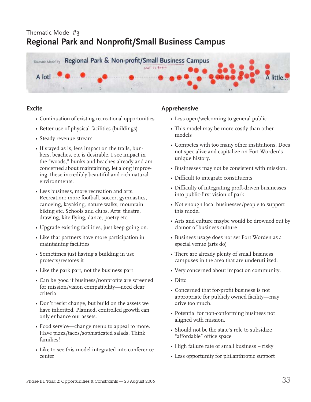## Thematic Model #3 **Regional Park and Nonprofit/Small Business Campus**



#### **Excite**

- Continuation of existing recreational opportunities
- Better use of physical facilities (buildings)
- Steady revenue stream
- If stayed as is, less impact on the trails, bunkers, beaches, etc is desirable. I see impact in the "woods," bunks and beaches already and am concerned about maintaining, let along improving, these incredibly beautiful and rich natural environments.
- Less business, more recreation and arts. Recreation: more football, soccer, gymnastics, canoeing, kayaking, nature walks, mountain biking etc. Schools and clubs. Arts: theatre, drawing, kite flying, dance, poetry etc.
- Upgrade existing facilities, just keep going on. •
- Like that partners have more participation in maintaining facilities
- Sometimes just having a building in use protects/restores it
- Like the park part, not the business part
- Can be good if business/nonprofits are screened for mission/vision compatibility—need clear criteria
- Don't resist change, but build on the assets we have inherited. Planned, controlled growth can only enhance our assets.
- Food service—change menu to appeal to more. Have pizza/tacos/sophisticated salads. Think families!
- Like to see this model integrated into conference center

- Less open/welcoming to general public
- This model may be more costly than other models
- Competes with too many other institutions. Does not specialize and capitalize on Fort Worden's unique history.
- Businesses may not be consistent with mission.
- Difficult to integrate constituents
- Difficulty of integrating proft-driven businesses into public-first vision of park.
- Not enough local businesses/people to support this model
- Arts and culture maybe would be drowned out by clamor of business culture
- Business usage does not set Fort Worden as a special venue (arts do)
- There are already plenty of small business campuses in the area that are underutilized.
- Very concerned about impact on community. •
- Ditto
- Concerned that for-profit business is not appropriate for publicly owned facility—may drive too much.
- Potential for non-conforming business not aligned with mission.
- Should not be the state's role to subsidize "affordable" office space
- High failure rate of small business risky
- Less opportunity for philanthropic support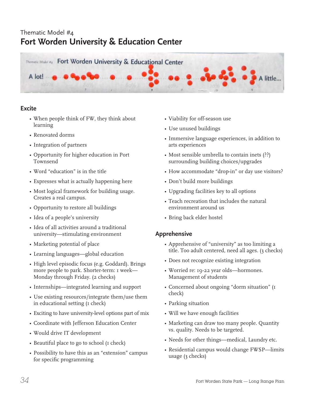## Thematic Model #4 **Fort Worden University & Education Center**



#### **Excite**

- When people think of FW, they think about learning
- Renovated dorms
- Integration of partners
- Opportunity for higher education in Port Townsend
- Word "education" is in the title •
- Expresses what is actually happening here
- Most logical framework for building usage. Creates a real campus.
- Opportunity to restore all buildings
- Idea of a people's university
- Idea of all activities around a traditional university—stimulating environment
- Marketing potential of place
- Learning languages—global education
- High level episodic focus (e.g. Goddard). Brings more people to park. Shorter-term: 1 week— Monday through Friday. (2 checks)
- Internships—integrated learning and support
- Use existing resources/integrate them/use them in educational setting (1 check)
- Exciting to have university-level options part of mix
- Coordinate with Jefferson Education Center •
- Would drive IT development •
- Beautiful place to go to school (I check)
- Possibility to have this as an "extension" campus for specific programming
- Viability for off-season use
- Use unused buildings •
- Immersive language experiences, in addition to arts experiences
- Most sensible umbrella to contain inets (??) surrounding building choices/upgrades
- How accommodate "drop-in" or day use visitors?
- Don't build more buildings
- Upgrading facilities key to all options
- Teach recreation that includes the natural environment around us
- Bring back elder hostel

- Apprehensive of "university" as too limiting a title. Too adult centered, need all ages. (3 checks)
- Does not recognize existing integration
- Worried re: 19-22 year olds—hormones. Management of students
- Concerned about ongoing "dorm situation" (I check)
- Parking situation •
- Will we have enough facilities •
- Marketing can draw too many people. Quantity vs. quality. Needs to be targeted.
- Needs for other things—medical, Laundry etc.
- Residential campus would change FWSP—limits usage (3 checks)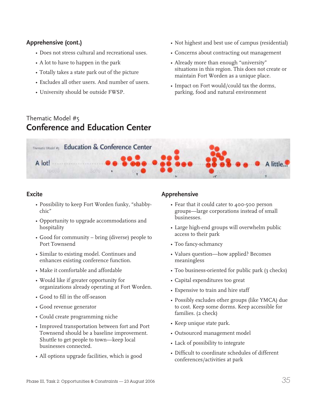#### **Apprehensive (cont.)**

- Does not stress cultural and recreational uses. •
- A lot to have to happen in the park
- Totally takes a state park out of the picture •
- Excludes all other users. And number of users. •
- University should be outside FWSP. •
- Not highest and best use of campus (residential)
- Concerns about contracting out management •
- Already more than enough "university" situations in this region. This does not create or maintain Fort Worden as a unique place.
- Impact on Fort would/could tax the dorms, parking, food and natural environment

## Thematic Model #5 **Conference and Education Center**



#### **Excite**

- Possibility to keep Fort Worden funky, "shabby-• chic"
- Opportunity to upgrade accommodations and hospitality
- Good for community bring (diverse) people to Port Townsend
- Similar to existing model. Continues and enhances existing conference function.
- Make it comfortable and affordable •
- Would like if greater opportunity for organizations already operating at Fort Worden.
- Good to fill in the off-season •
- Good revenue generator
- Could create programming niche
- Improved transportation between fort and Port Townsend should be a baseline improvement. Shuttle to get people to town—keep local businesses connected.
- All options upgrade facilities, which is good

- Fear that it could cater to 400-500 person groups—large corporations instead of small businesses.
- Large high-end groups will overwhelm public access to their park
- Too fancy-schmancy •
- Values question—how applied? Becomes meaningless
- Too business-oriented for public park (3 checks)
- Capital expenditures too great •
- Expensive to train and hire staff
- Possibly excludes other groups (like YMCA) due to cost. Keep some dorms. Keep accessible for families. (2 check)
- Keep unique state park.
- Outsourced management model
- Lack of possibility to integrate •
- Difficult to coordinate schedules of different •conferences/activities at park